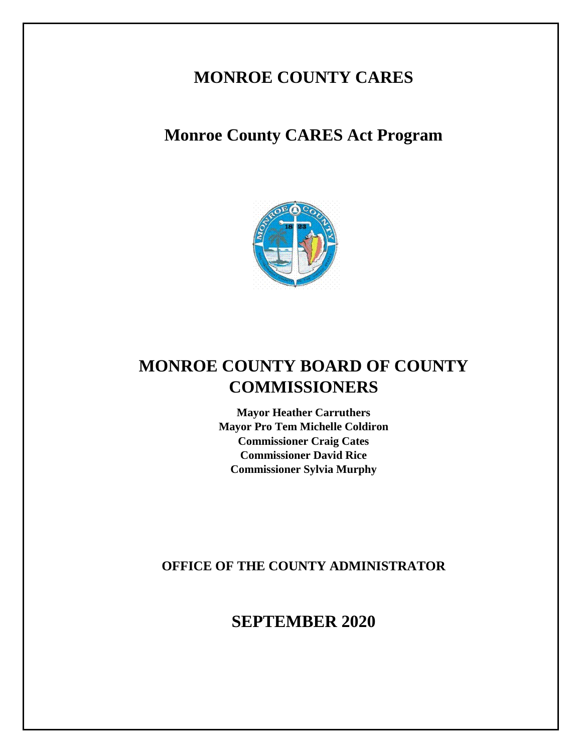# **MONROE COUNTY CARES**

# **Monroe County CARES Act Program**



# **MONROE COUNTY BOARD OF COUNTY COMMISSIONERS**

**Mayor Heather Carruthers Mayor Pro Tem Michelle Coldiron Commissioner Craig Cates Commissioner David Rice Commissioner Sylvia Murphy**

**OFFICE OF THE COUNTY ADMINISTRATOR**

**SEPTEMBER 2020**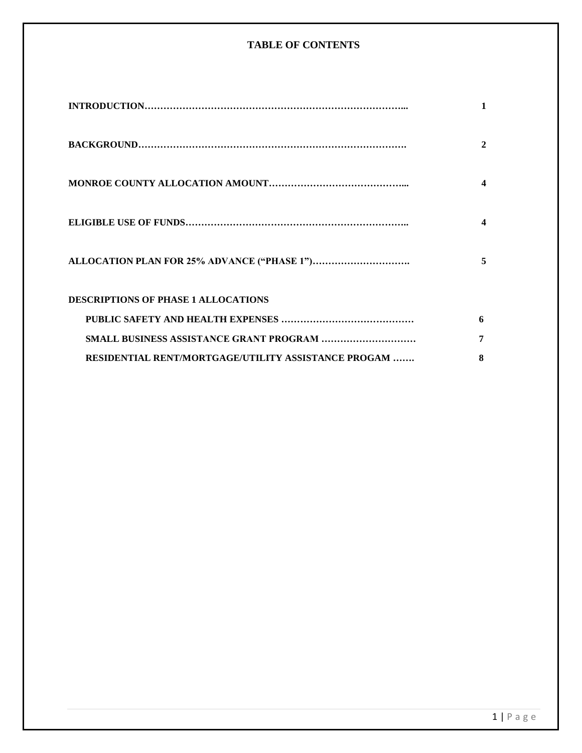# **TABLE OF CONTENTS**

|                                                     | $\mathbf{2}$ |
|-----------------------------------------------------|--------------|
|                                                     |              |
|                                                     |              |
|                                                     | 5            |
| <b>DESCRIPTIONS OF PHASE 1 ALLOCATIONS</b>          |              |
|                                                     | 6            |
|                                                     | 7            |
| RESIDENTIAL RENT/MORTGAGE/UTILITY ASSISTANCE PROGAM | 8            |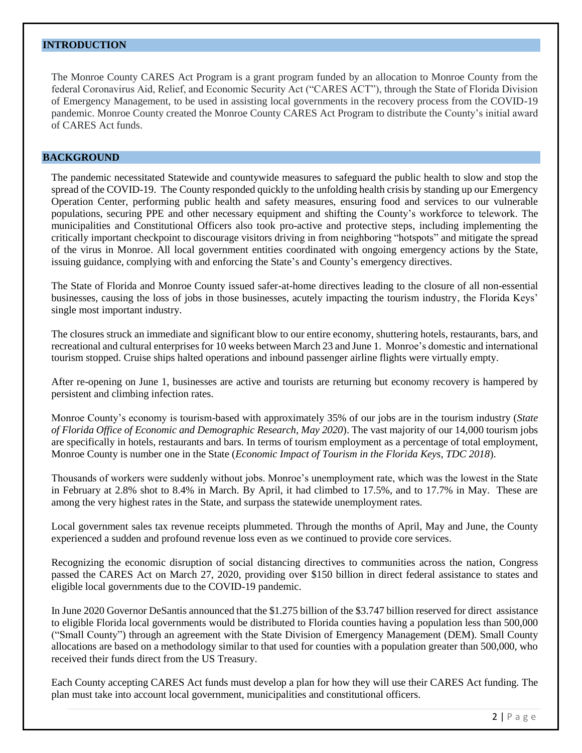# **INTRODUCTION**

The Monroe County CARES Act Program is a grant program funded by an allocation to Monroe County from the federal Coronavirus Aid, Relief, and Economic Security Act ("CARES ACT"), through the State of Florida Division of Emergency Management, to be used in assisting local governments in the recovery process from the COVID-19 pandemic. Monroe County created the Monroe County CARES Act Program to distribute the County's initial award of CARES Act funds.

# **BACKGROUND**

The pandemic necessitated Statewide and countywide measures to safeguard the public health to slow and stop the spread of the COVID-19. The County responded quickly to the unfolding health crisis by standing up our Emergency Operation Center, performing public health and safety measures, ensuring food and services to our vulnerable populations, securing PPE and other necessary equipment and shifting the County's workforce to telework. The municipalities and Constitutional Officers also took pro-active and protective steps, including implementing the critically important checkpoint to discourage visitors driving in from neighboring "hotspots" and mitigate the spread of the virus in Monroe. All local government entities coordinated with ongoing emergency actions by the State, issuing guidance, complying with and enforcing the State's and County's emergency directives.

The State of Florida and Monroe County issued safer-at-home directives leading to the closure of all non-essential businesses, causing the loss of jobs in those businesses, acutely impacting the tourism industry, the Florida Keys' single most important industry.

The closures struck an immediate and significant blow to our entire economy, shuttering hotels, restaurants, bars, and recreational and cultural enterprises for 10 weeks between March 23 and June 1. Monroe's domestic and international tourism stopped. Cruise ships halted operations and inbound passenger airline flights were virtually empty.

After re-opening on June 1, businesses are active and tourists are returning but economy recovery is hampered by persistent and climbing infection rates.

Monroe County's economy is tourism-based with approximately 35% of our jobs are in the tourism industry (*State of Florida Office of Economic and Demographic Research, May 2020*). The vast majority of our 14,000 tourism jobs are specifically in hotels, restaurants and bars. In terms of tourism employment as a percentage of total employment, Monroe County is number one in the State (*Economic Impact of Tourism in the Florida Keys, TDC 2018*).

Thousands of workers were suddenly without jobs. Monroe's unemployment rate, which was the lowest in the State in February at 2.8% shot to 8.4% in March. By April, it had climbed to 17.5%, and to 17.7% in May. These are among the very highest rates in the State, and surpass the statewide unemployment rates.

Local government sales tax revenue receipts plummeted. Through the months of April, May and June, the County experienced a sudden and profound revenue loss even as we continued to provide core services.

Recognizing the economic disruption of social distancing directives to communities across the nation, Congress passed the CARES Act on March 27, 2020, providing over \$150 billion in direct federal assistance to states and eligible local governments due to the COVID-19 pandemic.

In June 2020 Governor DeSantis announced that the \$1.275 billion of the \$3.747 billion reserved for direct assistance to eligible Florida local governments would be distributed to Florida counties having a population less than 500,000 ("Small County") through an agreement with the State Division of Emergency Management (DEM). Small County allocations are based on a methodology similar to that used for counties with a population greater than 500,000, who received their funds direct from the US Treasury.

Each County accepting CARES Act funds must develop a plan for how they will use their CARES Act funding. The plan must take into account local government, municipalities and constitutional officers.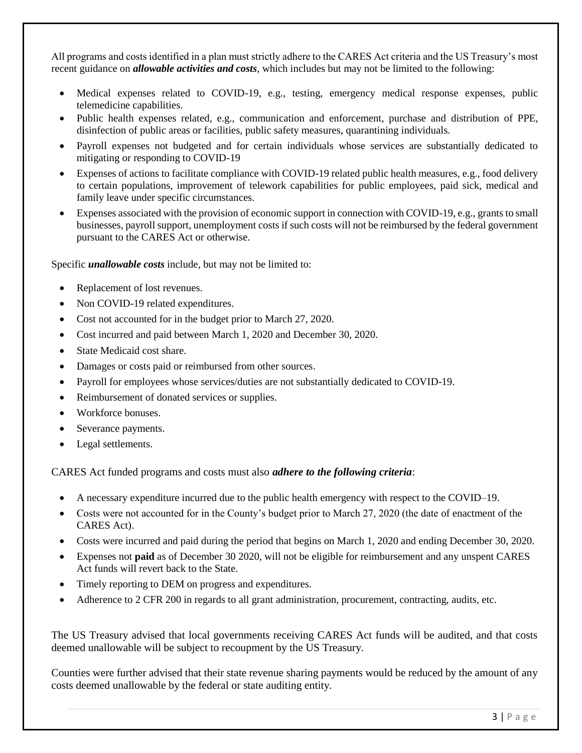All programs and costs identified in a plan must strictly adhere to the CARES Act criteria and the US Treasury's most recent guidance on *allowable activities and costs*, which includes but may not be limited to the following:

- Medical expenses related to COVID-19, e.g., testing, emergency medical response expenses, public telemedicine capabilities.
- Public health expenses related, e.g., communication and enforcement, purchase and distribution of PPE, disinfection of public areas or facilities, public safety measures, quarantining individuals.
- Payroll expenses not budgeted and for certain individuals whose services are substantially dedicated to mitigating or responding to COVID-19
- Expenses of actions to facilitate compliance with COVID-19 related public health measures, e.g., food delivery to certain populations, improvement of telework capabilities for public employees, paid sick, medical and family leave under specific circumstances.
- Expenses associated with the provision of economic support in connection with COVID-19, e.g., grants to small businesses, payroll support, unemployment costs if such costs will not be reimbursed by the federal government pursuant to the CARES Act or otherwise.

Specific *unallowable costs* include, but may not be limited to:

- Replacement of lost revenues.
- Non COVID-19 related expenditures.
- Cost not accounted for in the budget prior to March 27, 2020.
- Cost incurred and paid between March 1, 2020 and December 30, 2020.
- State Medicaid cost share.
- Damages or costs paid or reimbursed from other sources.
- Payroll for employees whose services/duties are not substantially dedicated to COVID-19.
- Reimbursement of donated services or supplies.
- Workforce bonuses.
- Severance payments.
- Legal settlements.

CARES Act funded programs and costs must also *adhere to the following criteria*:

- A necessary expenditure incurred due to the public health emergency with respect to the COVID–19.
- Costs were not accounted for in the County's budget prior to March 27, 2020 (the date of enactment of the CARES Act).
- Costs were incurred and paid during the period that begins on March 1, 2020 and ending December 30, 2020.
- Expenses not **paid** as of December 30 2020, will not be eligible for reimbursement and any unspent CARES Act funds will revert back to the State.
- Timely reporting to DEM on progress and expenditures.
- Adherence to 2 CFR 200 in regards to all grant administration, procurement, contracting, audits, etc.

The US Treasury advised that local governments receiving CARES Act funds will be audited, and that costs deemed unallowable will be subject to recoupment by the US Treasury.

Counties were further advised that their state revenue sharing payments would be reduced by the amount of any costs deemed unallowable by the federal or state auditing entity.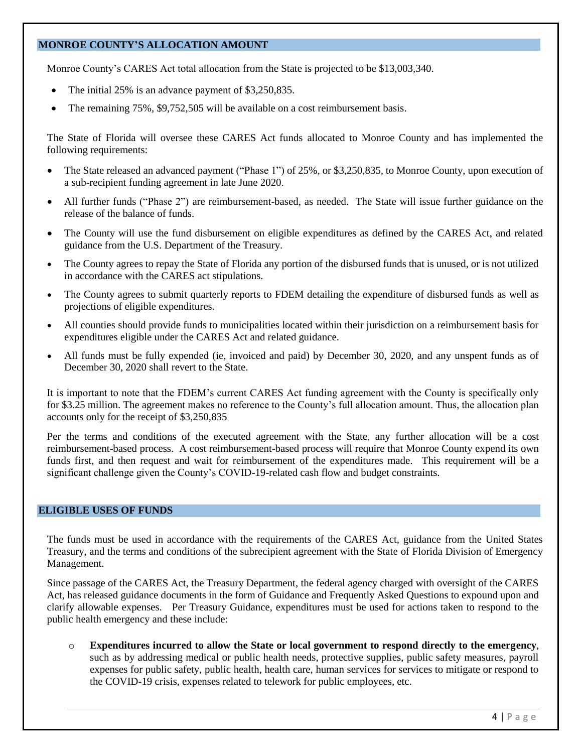# **MONROE COUNTY'S ALLOCATION AMOUNT**

Monroe County's CARES Act total allocation from the State is projected to be \$13,003,340.

- The initial 25% is an advance payment of \$3,250,835.
- The remaining 75%, \$9,752,505 will be available on a cost reimbursement basis.

The State of Florida will oversee these CARES Act funds allocated to Monroe County and has implemented the following requirements:

- The State released an advanced payment ("Phase 1") of 25%, or \$3,250,835, to Monroe County, upon execution of a sub-recipient funding agreement in late June 2020.
- All further funds ("Phase 2") are reimbursement-based, as needed. The State will issue further guidance on the release of the balance of funds.
- The County will use the fund disbursement on eligible expenditures as defined by the CARES Act, and related guidance from the U.S. Department of the Treasury.
- The County agrees to repay the State of Florida any portion of the disbursed funds that is unused, or is not utilized in accordance with the CARES act stipulations.
- The County agrees to submit quarterly reports to FDEM detailing the expenditure of disbursed funds as well as projections of eligible expenditures.
- All counties should provide funds to municipalities located within their jurisdiction on a reimbursement basis for expenditures eligible under the CARES Act and related guidance.
- All funds must be fully expended (ie, invoiced and paid) by December 30, 2020, and any unspent funds as of December 30, 2020 shall revert to the State.

It is important to note that the FDEM's current CARES Act funding agreement with the County is specifically only for \$3.25 million. The agreement makes no reference to the County's full allocation amount. Thus, the allocation plan accounts only for the receipt of \$3,250,835

Per the terms and conditions of the executed agreement with the State, any further allocation will be a cost reimbursement-based process. A cost reimbursement-based process will require that Monroe County expend its own funds first, and then request and wait for reimbursement of the expenditures made. This requirement will be a significant challenge given the County's COVID-19-related cash flow and budget constraints.

#### **ELIGIBLE USES OF FUNDS**

The funds must be used in accordance with the requirements of the CARES Act, guidance from the United States Treasury, and the terms and conditions of the subrecipient agreement with the State of Florida Division of Emergency Management.

Since passage of the CARES Act, the Treasury Department, the federal agency charged with oversight of the CARES Act, has released guidance documents in the form of Guidance and Frequently Asked Questions to expound upon and clarify allowable expenses. Per Treasury Guidance, expenditures must be used for actions taken to respond to the public health emergency and these include:

o **Expenditures incurred to allow the State or local government to respond directly to the emergency**, such as by addressing medical or public health needs, protective supplies, public safety measures, payroll expenses for public safety, public health, health care, human services for services to mitigate or respond to the COVID-19 crisis, expenses related to telework for public employees, etc.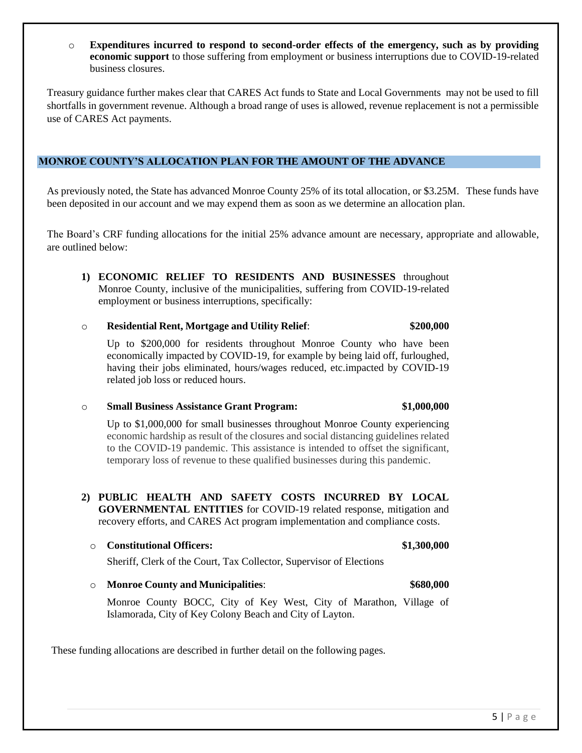o **Expenditures incurred to respond to second-order effects of the emergency, such as by providing economic support** to those suffering from employment or business interruptions due to COVID-19-related business closures.

Treasury guidance further makes clear that CARES Act funds to State and Local Governments may not be used to fill shortfalls in government revenue. Although a broad range of uses is allowed, revenue replacement is not a permissible use of CARES Act payments.

# **MONROE COUNTY'S ALLOCATION PLAN FOR THE AMOUNT OF THE ADVANCE**

As previously noted, the State has advanced Monroe County 25% of its total allocation, or \$3.25M. These funds have been deposited in our account and we may expend them as soon as we determine an allocation plan.

The Board's CRF funding allocations for the initial 25% advance amount are necessary, appropriate and allowable, are outlined below:

**1) ECONOMIC RELIEF TO RESIDENTS AND BUSINESSES** throughout Monroe County, inclusive of the municipalities, suffering from COVID-19-related employment or business interruptions, specifically:

# o **Residential Rent, Mortgage and Utility Relief**: **\$200,000**

Up to \$200,000 for residents throughout Monroe County who have been economically impacted by COVID-19, for example by being laid off, furloughed, having their jobs eliminated, hours/wages reduced, etc.impacted by COVID-19 related job loss or reduced hours.

# o **Small Business Assistance Grant Program: \$1,000,000**

Up to \$1,000,000 for small businesses throughout Monroe County experiencing economic hardship as result of the closures and social distancing guidelines related to the COVID-19 pandemic. This assistance is intended to offset the significant, temporary loss of revenue to these qualified businesses during this pandemic.

**2) PUBLIC HEALTH AND SAFETY COSTS INCURRED BY LOCAL GOVERNMENTAL ENTITIES** for COVID-19 related response, mitigation and recovery efforts, and CARES Act program implementation and compliance costs.

#### o **Constitutional Officers: \$1,300,000**

Sheriff, Clerk of the Court, Tax Collector, Supervisor of Elections

Monroe County BOCC, City of Key West, City of Marathon, Village of Islamorada, City of Key Colony Beach and City of Layton.

o **Monroe County and Municipalities**: **\$680,000**

These funding allocations are described in further detail on the following pages.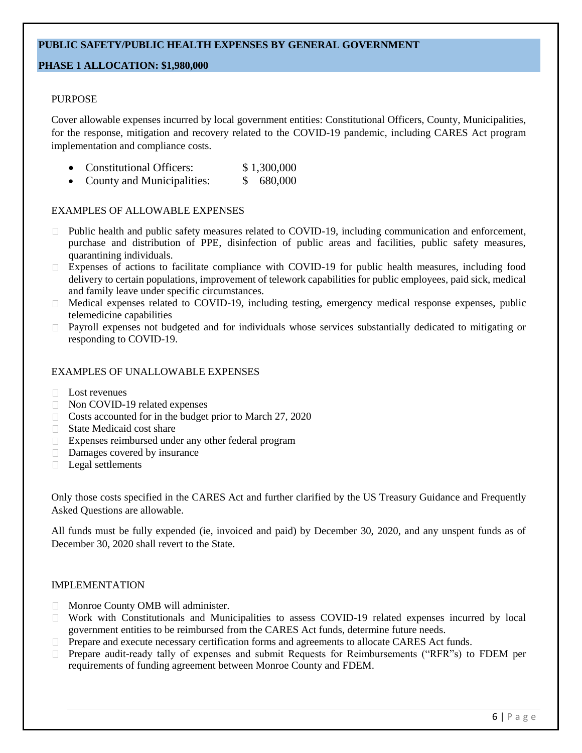# **PUBLIC SAFETY/PUBLIC HEALTH EXPENSES BY GENERAL GOVERNMENT**

# **PHASE 1 ALLOCATION: \$1,980,000**

# PURPOSE

Cover allowable expenses incurred by local government entities: Constitutional Officers, County, Municipalities, for the response, mitigation and recovery related to the COVID-19 pandemic, including CARES Act program implementation and compliance costs.

- Constitutional Officers: \$ 1,300,000
- County and Municipalities: \$ 680,000

#### EXAMPLES OF ALLOWABLE EXPENSES

- Public health and public safety measures related to COVID-19, including communication and enforcement,  $\Box$ purchase and distribution of PPE, disinfection of public areas and facilities, public safety measures, quarantining individuals.
- Expenses of actions to facilitate compliance with COVID-19 for public health measures, including food delivery to certain populations, improvement of telework capabilities for public employees, paid sick, medical and family leave under specific circumstances.
- □ Medical expenses related to COVID-19, including testing, emergency medical response expenses, public telemedicine capabilities
- Payroll expenses not budgeted and for individuals whose services substantially dedicated to mitigating or responding to COVID-19.

#### EXAMPLES OF UNALLOWABLE EXPENSES

- $\Box$  Lost revenues
- □ Non COVID-19 related expenses
- $\Box$  Costs accounted for in the budget prior to March 27, 2020
- State Medicaid cost share
- Expenses reimbursed under any other federal program
- Damages covered by insurance
- $\Box$  Legal settlements

Only those costs specified in the CARES Act and further clarified by the US Treasury Guidance and Frequently Asked Questions are allowable.

All funds must be fully expended (ie, invoiced and paid) by December 30, 2020, and any unspent funds as of December 30, 2020 shall revert to the State.

#### IMPLEMENTATION

- **Monroe County OMB will administer.**
- Work with Constitutionals and Municipalities to assess COVID-19 related expenses incurred by local government entities to be reimbursed from the CARES Act funds, determine future needs.
- $\Box$  Prepare and execute necessary certification forms and agreements to allocate CARES Act funds.
- Prepare audit-ready tally of expenses and submit Requests for Reimbursements ("RFR"s) to FDEM per requirements of funding agreement between Monroe County and FDEM.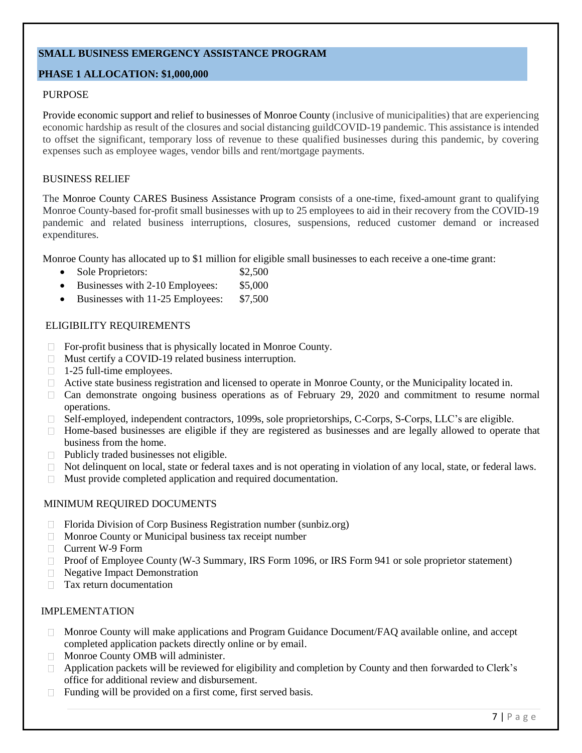# **SMALL BUSINESS EMERGENCY ASSISTANCE PROGRAM**

# **PHASE 1 ALLOCATION: \$1,000,000**

## PURPOSE

Provide economic support and relief to businesses of Monroe County (inclusive of municipalities) that are experiencing economic hardship as result of the closures and social distancing guildCOVID-19 pandemic. This assistance is intended to offset the significant, temporary loss of revenue to these qualified businesses during this pandemic, by covering expenses such as employee wages, vendor bills and rent/mortgage payments.

### BUSINESS RELIEF

The Monroe County CARES Business Assistance Program consists of a one-time, fixed-amount grant to qualifying Monroe County-based for-profit small businesses with up to 25 employees to aid in their recovery from the COVID-19 pandemic and related business interruptions, closures, suspensions, reduced customer demand or increased expenditures.

Monroe County has allocated up to \$1 million for eligible small businesses to each receive a one-time grant:

- Sole Proprietors:  $$2,500$
- Businesses with 2-10 Employees: \$5,000
- Businesses with 11-25 Employees: \$7,500

#### ELIGIBILITY REQUIREMENTS

- For-profit business that is physically located in Monroe County.  $\Box$
- Must certify a COVID-19 related business interruption.
- $\Box$  1-25 full-time employees.
- Active state business registration and licensed to operate in Monroe County, or the Municipality located in.  $\Box$
- $\Box$  Can demonstrate ongoing business operations as of February 29, 2020 and commitment to resume normal operations.
- Self-employed, independent contractors, 1099s, sole proprietorships, C-Corps, S-Corps, LLC's are eligible.  $\Box$
- $\Box$  Home-based businesses are eligible if they are registered as businesses and are legally allowed to operate that business from the home.
- $\Box$  Publicly traded businesses not eligible.
- Not delinquent on local, state or federal taxes and is not operating in violation of any local, state, or federal laws.  $\Box$
- Must provide completed application and required documentation.

# MINIMUM REQUIRED DOCUMENTS

- $\Box$ Florida Division of Corp Business Registration number (sunbiz.org)
- $\Box$  Monroe County or Municipal business tax receipt number
- □ Current W-9 Form
- Proof of Employee County (W-3 Summary, IRS Form 1096, or IRS Form 941 or sole proprietor statement)
- $\Box$ Negative Impact Demonstration
- Tax return documentation  $\Box$

# IMPLEMENTATION

- Monroe County will make applications and Program Guidance Document/FAQ available online, and accept completed application packets directly online or by email.
- Monroe County OMB will administer.  $\Box$
- Application packets will be reviewed for eligibility and completion by County and then forwarded to Clerk's  $\Box$ office for additional review and disbursement.
- $\Box$ Funding will be provided on a first come, first served basis.